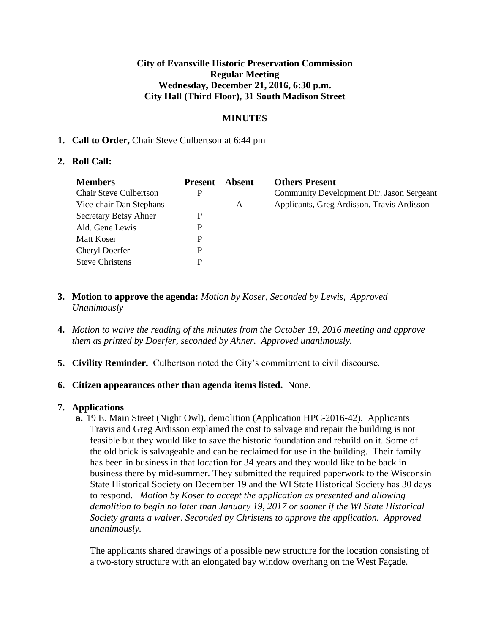### **City of Evansville Historic Preservation Commission Regular Meeting Wednesday, December 21, 2016, 6:30 p.m. City Hall (Third Floor), 31 South Madison Street**

# **MINUTES**

### **1. Call to Order,** Chair Steve Culbertson at 6:44 pm

### **2. Roll Call:**

| <b>Members</b>                | <b>Present</b> | Absent | <b>Others Present</b>                      |
|-------------------------------|----------------|--------|--------------------------------------------|
| <b>Chair Steve Culbertson</b> | P              |        | Community Development Dir. Jason Sergeant  |
| Vice-chair Dan Stephans       |                | A      | Applicants, Greg Ardisson, Travis Ardisson |
| Secretary Betsy Ahner         | P              |        |                                            |
| Ald. Gene Lewis               | P              |        |                                            |
| Matt Koser                    | P              |        |                                            |
| <b>Cheryl Doerfer</b>         | P              |        |                                            |
| <b>Steve Christens</b>        | P              |        |                                            |

- **3. Motion to approve the agenda:** *Motion by Koser, Seconded by Lewis, Approved Unanimously*
- **4.** *Motion to waive the reading of the minutes from the October 19, 2016 meeting and approve them as printed by Doerfer, seconded by Ahner. Approved unanimously.*
- **5. Civility Reminder.** Culbertson noted the City's commitment to civil discourse.

#### **6. Citizen appearances other than agenda items listed.** None.

# **7. Applications**

**a.** 19 E. Main Street (Night Owl), demolition (Application HPC-2016-42). Applicants Travis and Greg Ardisson explained the cost to salvage and repair the building is not feasible but they would like to save the historic foundation and rebuild on it. Some of the old brick is salvageable and can be reclaimed for use in the building. Their family has been in business in that location for 34 years and they would like to be back in business there by mid-summer. They submitted the required paperwork to the Wisconsin State Historical Society on December 19 and the WI State Historical Society has 30 days to respond. *Motion by Koser to accept the application as presented and allowing demolition to begin no later than January 19, 2017 or sooner if the WI State Historical Society grants a waiver. Seconded by Christens to approve the application. Approved unanimously.* 

The applicants shared drawings of a possible new structure for the location consisting of a two-story structure with an elongated bay window overhang on the West Façade.